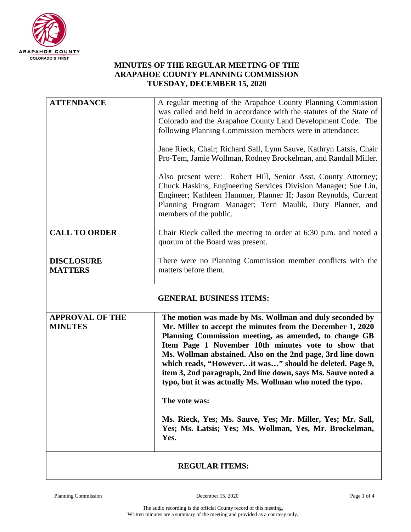

## **MINUTES OF THE REGULAR MEETING OF THE ARAPAHOE COUNTY PLANNING COMMISSION TUESDAY, DECEMBER 15, 2020**

| <b>ATTENDANCE</b>                        | A regular meeting of the Arapahoe County Planning Commission<br>was called and held in accordance with the statutes of the State of<br>Colorado and the Arapahoe County Land Development Code. The<br>following Planning Commission members were in attendance:<br>Jane Rieck, Chair; Richard Sall, Lynn Sauve, Kathryn Latsis, Chair<br>Pro-Tem, Jamie Wollman, Rodney Brockelman, and Randall Miller.                                                                                                                                                                                                                                            |  |
|------------------------------------------|----------------------------------------------------------------------------------------------------------------------------------------------------------------------------------------------------------------------------------------------------------------------------------------------------------------------------------------------------------------------------------------------------------------------------------------------------------------------------------------------------------------------------------------------------------------------------------------------------------------------------------------------------|--|
|                                          | Also present were: Robert Hill, Senior Asst. County Attorney;<br>Chuck Haskins, Engineering Services Division Manager; Sue Liu,<br>Engineer; Kathleen Hammer, Planner II; Jason Reynolds, Current<br>Planning Program Manager; Terri Maulik, Duty Planner, and<br>members of the public.                                                                                                                                                                                                                                                                                                                                                           |  |
| <b>CALL TO ORDER</b>                     | Chair Rieck called the meeting to order at 6:30 p.m. and noted a<br>quorum of the Board was present.                                                                                                                                                                                                                                                                                                                                                                                                                                                                                                                                               |  |
| <b>DISCLOSURE</b><br><b>MATTERS</b>      | There were no Planning Commission member conflicts with the<br>matters before them.                                                                                                                                                                                                                                                                                                                                                                                                                                                                                                                                                                |  |
| <b>GENERAL BUSINESS ITEMS:</b>           |                                                                                                                                                                                                                                                                                                                                                                                                                                                                                                                                                                                                                                                    |  |
|                                          |                                                                                                                                                                                                                                                                                                                                                                                                                                                                                                                                                                                                                                                    |  |
| <b>APPROVAL OF THE</b><br><b>MINUTES</b> | The motion was made by Ms. Wollman and duly seconded by<br>Mr. Miller to accept the minutes from the December 1, 2020<br>Planning Commission meeting, as amended, to change GB<br>Item Page 1 November 10th minutes vote to show that<br>Ms. Wollman abstained. Also on the 2nd page, 3rd line down<br>which reads, "Howeverit was" should be deleted. Page 9,<br>item 3, 2nd paragraph, 2nd line down, says Ms. Sauve noted a<br>typo, but it was actually Ms. Wollman who noted the typo.<br>m<br>The vote was:<br>Ms. Rieck, Yes; Ms. Sauve, Yes; Mr. Miller, Yes; Mr. Sall,<br>Yes; Ms. Latsis; Yes; Ms. Wollman, Yes, Mr. Brockelman,<br>Yes. |  |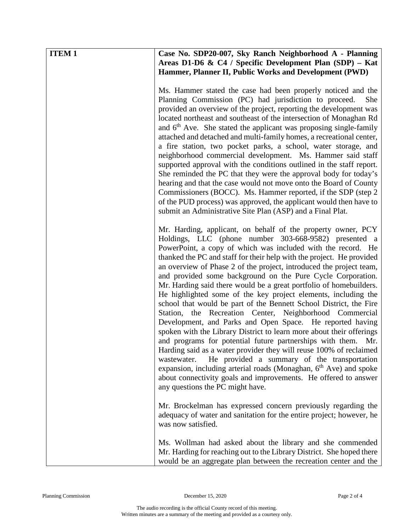| <b>ITEM1</b> | Case No. SDP20-007, Sky Ranch Neighborhood A - Planning<br>Areas D1-D6 & C4 / Specific Development Plan (SDP) - Kat<br>Hammer, Planner II, Public Works and Development (PWD)                                                                                                                                                                                                                                                                                                                                                                                                                                                                                                                                                                                                                                                                                                                                                                                                                                                                                                                                                                                                                                   |
|--------------|-----------------------------------------------------------------------------------------------------------------------------------------------------------------------------------------------------------------------------------------------------------------------------------------------------------------------------------------------------------------------------------------------------------------------------------------------------------------------------------------------------------------------------------------------------------------------------------------------------------------------------------------------------------------------------------------------------------------------------------------------------------------------------------------------------------------------------------------------------------------------------------------------------------------------------------------------------------------------------------------------------------------------------------------------------------------------------------------------------------------------------------------------------------------------------------------------------------------|
|              | Ms. Hammer stated the case had been properly noticed and the<br>Planning Commission (PC) had jurisdiction to proceed.<br>She<br>provided an overview of the project, reporting the development was<br>located northeast and southeast of the intersection of Monaghan Rd<br>and $6th$ Ave. She stated the applicant was proposing single-family<br>attached and detached and multi-family homes, a recreational center,<br>a fire station, two pocket parks, a school, water storage, and<br>neighborhood commercial development. Ms. Hammer said staff<br>supported approval with the conditions outlined in the staff report.<br>She reminded the PC that they were the approval body for today's<br>hearing and that the case would not move onto the Board of County<br>Commissioners (BOCC). Ms. Hammer reported, if the SDP (step 2)<br>of the PUD process) was approved, the applicant would then have to<br>submit an Administrative Site Plan (ASP) and a Final Plat.                                                                                                                                                                                                                                  |
|              | Mr. Harding, applicant, on behalf of the property owner, PCY<br>Holdings, LLC (phone number 303-668-9582) presented a<br>PowerPoint, a copy of which was included with the record. He<br>thanked the PC and staff for their help with the project. He provided<br>an overview of Phase 2 of the project, introduced the project team,<br>and provided some background on the Pure Cycle Corporation.<br>Mr. Harding said there would be a great portfolio of homebuilders.<br>He highlighted some of the key project elements, including the<br>school that would be part of the Bennett School District, the Fire<br>Station, the Recreation Center, Neighborhood Commercial<br>Development, and Parks and Open Space. He reported having<br>spoken with the Library District to learn more about their offerings<br>and programs for potential future partnerships with them. Mr.<br>Harding said as a water provider they will reuse 100% of reclaimed<br>He provided a summary of the transportation<br>wastewater.<br>expansion, including arterial roads (Monaghan, 6 <sup>th</sup> Ave) and spoke<br>about connectivity goals and improvements. He offered to answer<br>any questions the PC might have. |
|              | Mr. Brockelman has expressed concern previously regarding the<br>adequacy of water and sanitation for the entire project; however, he<br>was now satisfied.                                                                                                                                                                                                                                                                                                                                                                                                                                                                                                                                                                                                                                                                                                                                                                                                                                                                                                                                                                                                                                                     |
|              | Ms. Wollman had asked about the library and she commended<br>Mr. Harding for reaching out to the Library District. She hoped there<br>would be an aggregate plan between the recreation center and the                                                                                                                                                                                                                                                                                                                                                                                                                                                                                                                                                                                                                                                                                                                                                                                                                                                                                                                                                                                                          |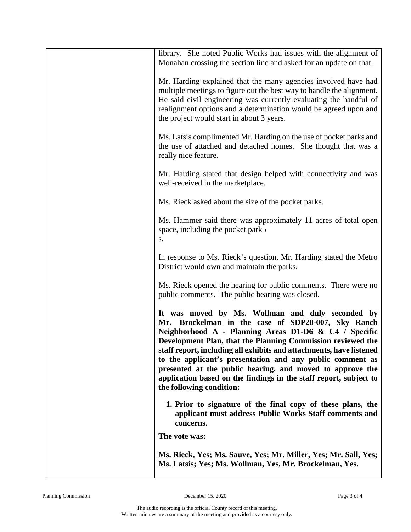| library. She noted Public Works had issues with the alignment of<br>Monahan crossing the section line and asked for an update on that.                                                                                                                                                                                                                                                                                                                                                                                           |
|----------------------------------------------------------------------------------------------------------------------------------------------------------------------------------------------------------------------------------------------------------------------------------------------------------------------------------------------------------------------------------------------------------------------------------------------------------------------------------------------------------------------------------|
| Mr. Harding explained that the many agencies involved have had<br>multiple meetings to figure out the best way to handle the alignment.<br>He said civil engineering was currently evaluating the handful of<br>realignment options and a determination would be agreed upon and<br>the project would start in about 3 years.                                                                                                                                                                                                    |
| Ms. Latsis complimented Mr. Harding on the use of pocket parks and<br>the use of attached and detached homes. She thought that was a<br>really nice feature.                                                                                                                                                                                                                                                                                                                                                                     |
| Mr. Harding stated that design helped with connectivity and was<br>well-received in the marketplace.                                                                                                                                                                                                                                                                                                                                                                                                                             |
| Ms. Rieck asked about the size of the pocket parks.                                                                                                                                                                                                                                                                                                                                                                                                                                                                              |
| Ms. Hammer said there was approximately 11 acres of total open<br>space, including the pocket park5<br>S.                                                                                                                                                                                                                                                                                                                                                                                                                        |
| In response to Ms. Rieck's question, Mr. Harding stated the Metro<br>District would own and maintain the parks.                                                                                                                                                                                                                                                                                                                                                                                                                  |
| Ms. Rieck opened the hearing for public comments. There were no<br>public comments. The public hearing was closed.                                                                                                                                                                                                                                                                                                                                                                                                               |
| It was moved by Ms. Wollman and duly seconded by<br>Mr. Brockelman in the case of SDP20-007, Sky Ranch<br>Neighborhood A - Planning Areas D1-D6 & C4 / Specific<br>Development Plan, that the Planning Commission reviewed the<br>staff report, including all exhibits and attachments, have listened<br>to the applicant's presentation and any public comment as<br>presented at the public hearing, and moved to approve the<br>application based on the findings in the staff report, subject to<br>the following condition: |
| 1. Prior to signature of the final copy of these plans, the<br>applicant must address Public Works Staff comments and<br>concerns.                                                                                                                                                                                                                                                                                                                                                                                               |
| The vote was:                                                                                                                                                                                                                                                                                                                                                                                                                                                                                                                    |
| Ms. Rieck, Yes; Ms. Sauve, Yes; Mr. Miller, Yes; Mr. Sall, Yes;<br>Ms. Latsis; Yes; Ms. Wollman, Yes, Mr. Brockelman, Yes.                                                                                                                                                                                                                                                                                                                                                                                                       |